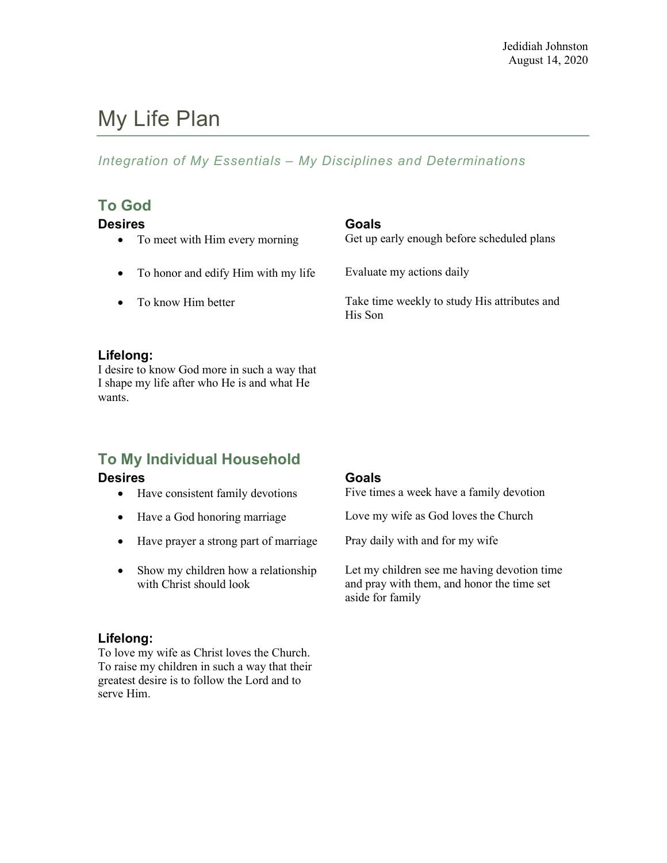# My Life Plan

# *Integration of My Essentials – My Disciplines and Determinations*

# **To God**

- 
- To honor and edify Him with my life Evaluate my actions daily
- 

# **Desires Goals**

• To meet with Him every morning Get up early enough before scheduled plans

• To know Him better Take time weekly to study His attributes and His Son

## **Lifelong:**

I desire to know God more in such a way that I shape my life after who He is and what He wants.

# **To My Individual Household**

- $\bullet$  Have consistent family devotions
- 
- Have prayer a strong part of marriage Pray daily with and for my wife
- Show my children how a relationship with Christ should look

### **Lifelong:**

To love my wife as Christ loves the Church. To raise my children in such a way that their greatest desire is to follow the Lord and to serve Him.

**Desires**<br>**•** Have consistent family devotions **Goals**<br>**Five times a week have a family devotion** 

• Have a God honoring marriage Love my wife as God loves the Church

Let my children see me having devotion time and pray with them, and honor the time set aside for family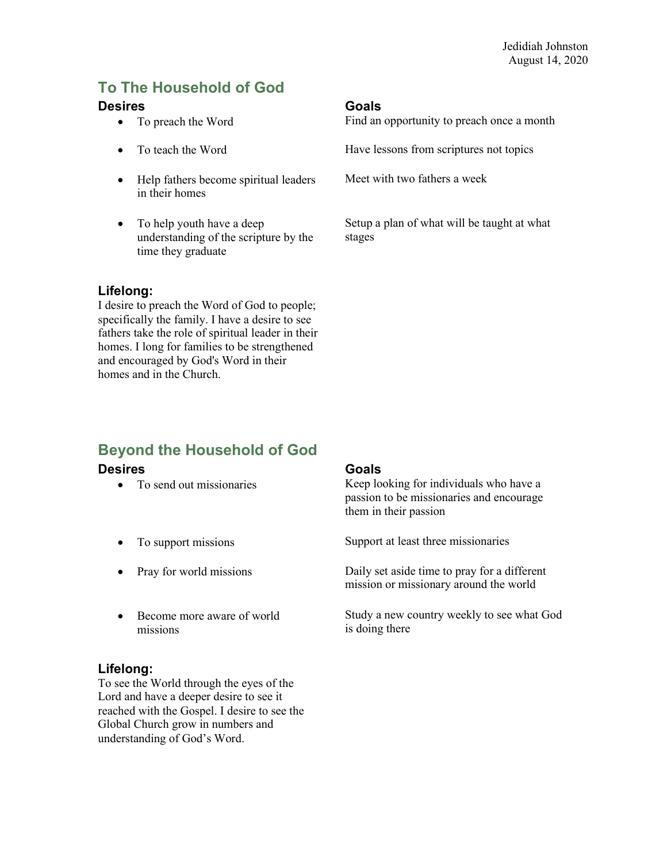# **To The Household of God**

### **Desires Goals**

- 
- 
- Help fathers become spiritual leaders in their homes
- To help youth have a deep understanding of the scripture by the time they graduate

# **Lifelong:**

I desire to preach the Word of God to people; specifically the family. I have a desire to see fathers take the role of spiritual leader in their homes. I long for families to be strengthened and encouraged by God's Word in their homes and in the Church.

• To preach the Word Find an opportunity to preach once a month

• To teach the Word **Have lessons from scriptures not topics** 

Meet with two fathers a week

Setup a plan of what will be taught at what stages

# **Beyond the Household of God**

### **Desires Goals**

- 
- 
- 
- Become more aware of world missions

### **Lifelong:**

To see the World through the eyes of the Lord and have a deeper desire to see it reached with the Gospel. I desire to see the Global Church grow in numbers and understanding of God's Word.

• To send out missionaries Keep looking for individuals who have a passion to be missionaries and encourage them in their passion

• To support missions Support at least three missionaries

• Pray for world missions Daily set aside time to pray for a different mission or missionary around the world

> Study a new country weekly to see what God is doing there